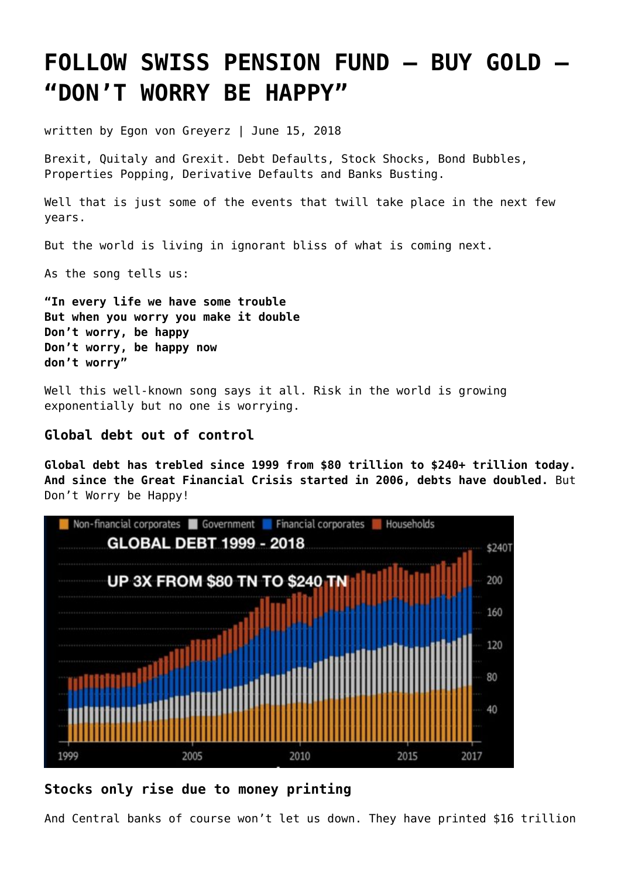# **[FOLLOW SWISS PENSION FUND – BUY GOLD –](https://goldswitzerland.com/follow-swiss-pension-fund-buy-gold-dont-worry-be-happy/) ["DON'T WORRY BE HAPPY"](https://goldswitzerland.com/follow-swiss-pension-fund-buy-gold-dont-worry-be-happy/)**

written by Egon von Greyerz | June 15, 2018

Brexit, Quitaly and Grexit. Debt Defaults, Stock Shocks, Bond Bubbles, Properties Popping, Derivative Defaults and Banks Busting.

Well that is just some of the events that twill take place in the next few years.

But the world is living in ignorant bliss of what is coming next.

As the song tells us:

**"In every life we have some trouble But when you worry you make it double Don't worry, be happy Don't worry, be happy now don't worry"**

Well this well-known song says it all. Risk in the world is growing exponentially but no one is worrying.

### **Global debt out of control**

**Global debt has trebled since 1999 from \$80 trillion to \$240+ trillion today. And since the Great Financial Crisis started in 2006, debts have doubled.** But Don't Worry be Happy!



# **Stocks only rise due to money printing**

And Central banks of course won't let us down. They have printed \$16 trillion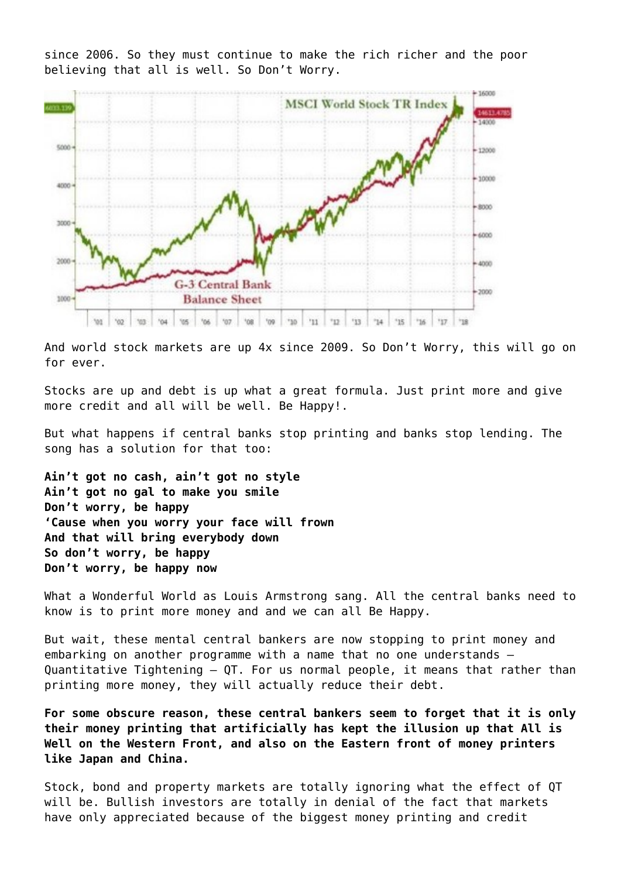since 2006. So they must continue to make the rich richer and the poor believing that all is well. So Don't Worry.



And world stock markets are up 4x since 2009. So Don't Worry, this will go on for ever.

Stocks are up and debt is up what a great formula. Just print more and give more credit and all will be well. Be Happy!.

But what happens if central banks stop printing and banks stop lending. The song has a solution for that too:

**Ain't got no cash, ain't got no style Ain't got no gal to make you smile Don't worry, be happy 'Cause when you worry your face will frown And that will bring everybody down So don't worry, be happy Don't worry, be happy now**

What a Wonderful World as Louis Armstrong sang. All the central banks need to know is to print more money and and we can all Be Happy.

But wait, these mental central bankers are now stopping to print money and embarking on another programme with a name that no one understands – Quantitative Tightening – QT. For us normal people, it means that rather than printing more money, they will actually reduce their debt.

**For some obscure reason, these central bankers seem to forget that it is only their money printing that artificially has kept the illusion up that All is Well on the Western Front, and also on the Eastern front of money printers like Japan and China.**

Stock, bond and property markets are totally ignoring what the effect of QT will be. Bullish investors are totally in denial of the fact that markets have only appreciated because of the biggest money printing and credit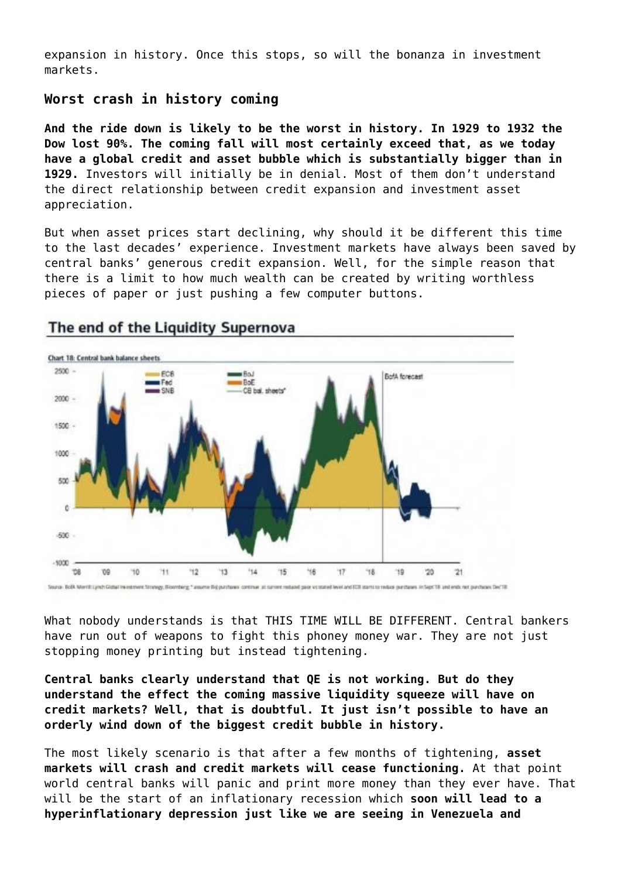expansion in history. Once this stops, so will the bonanza in investment markets.

## **Worst crash in history coming**

**And the ride down is likely to be the worst in history. In 1929 to 1932 the Dow lost 90%. The coming fall will most certainly exceed that, as we today have a global credit and asset bubble which is substantially bigger than in 1929.** Investors will initially be in denial. Most of them don't understand the direct relationship between credit expansion and investment asset appreciation.

But when asset prices start declining, why should it be different this time to the last decades' experience. Investment markets have always been saved by central banks' generous credit expansion. Well, for the simple reason that there is a limit to how much wealth can be created by writing worthless pieces of paper or just pushing a few computer buttons.



# The end of the Liquidity Supernova

What nobody understands is that THIS TIME WILL BE DIFFERENT. Central bankers have run out of weapons to fight this phoney money war. They are not just stopping money printing but instead tightening.

**Central banks clearly understand that QE is not working. But do they understand the effect the coming massive liquidity squeeze will have on credit markets? Well, that is doubtful. It just isn't possible to have an orderly wind down of the biggest credit bubble in history.**

The most likely scenario is that after a few months of tightening, **asset markets will crash and credit markets will cease functioning.** At that point world central banks will panic and print more money than they ever have. That will be the start of an inflationary recession which **soon will lead to a hyperinflationary depression just like we are seeing in Venezuela and**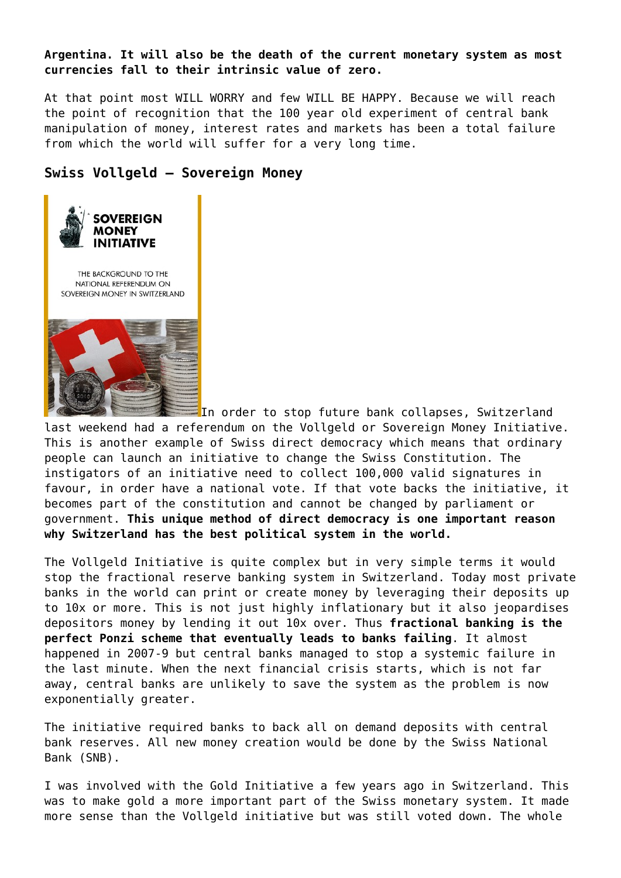#### **Argentina. It will also be the death of the current monetary system as most currencies fall to their intrinsic value of zero.**

At that point most WILL WORRY and few WILL BE HAPPY. Because we will reach the point of recognition that the 100 year old experiment of central bank manipulation of money, interest rates and markets has been a total failure from which the world will suffer for a very long time.

# **Swiss Vollgeld – Sovereign Money**



**In order to stop future bank collapses, Switzerland** last weekend had a referendum on the Vollgeld or Sovereign Money Initiative. This is another example of Swiss direct democracy which means that ordinary people can launch an initiative to change the Swiss Constitution. The instigators of an initiative need to collect 100,000 valid signatures in favour, in order have a national vote. If that vote backs the initiative, it becomes part of the constitution and cannot be changed by parliament or government. **This unique method of direct democracy is one important reason why Switzerland has the best political system in the world.**

The Vollgeld Initiative is quite complex but in very simple terms it would stop the fractional reserve banking system in Switzerland. Today most private banks in the world can print or create money by leveraging their deposits up to 10x or more. This is not just highly inflationary but it also jeopardises depositors money by lending it out 10x over. Thus **fractional banking is the perfect Ponzi scheme that eventually leads to banks failing**. It almost happened in 2007-9 but central banks managed to stop a systemic failure in the last minute. When the next financial crisis starts, which is not far away, central banks are unlikely to save the system as the problem is now exponentially greater.

The initiative required banks to back all on demand deposits with central bank reserves. All new money creation would be done by the Swiss National Bank (SNB).

I was involved with the Gold Initiative a few years ago in Switzerland. This was to make gold a more important part of the Swiss monetary system. It made more sense than the Vollgeld initiative but was still voted down. The whole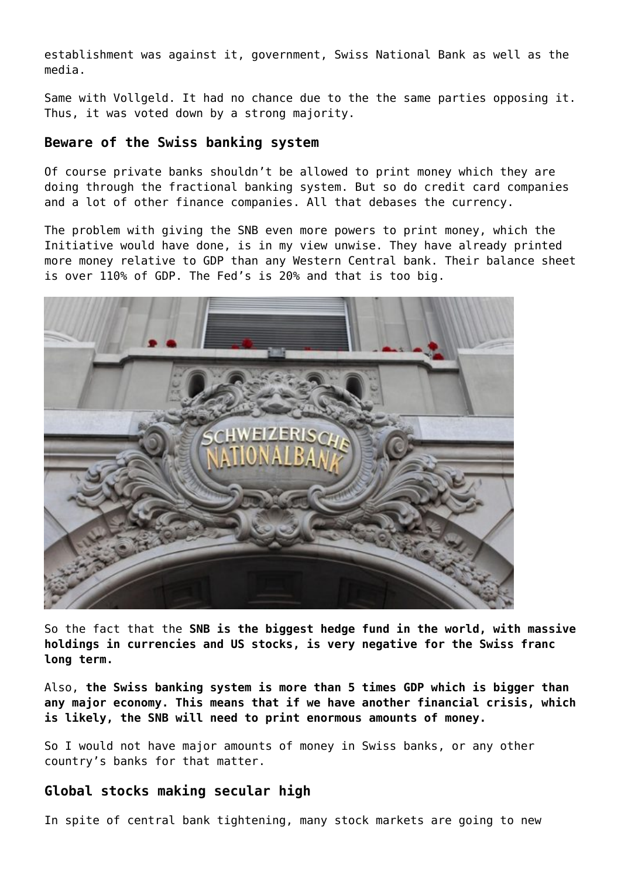establishment was against it, government, Swiss National Bank as well as the media.

Same with Vollgeld. It had no chance due to the the same parties opposing it. Thus, it was voted down by a strong majority.

### **Beware of the Swiss banking system**

Of course private banks shouldn't be allowed to print money which they are doing through the fractional banking system. But so do credit card companies and a lot of other finance companies. All that debases the currency.

The problem with giving the SNB even more powers to print money, which the Initiative would have done, is in my view unwise. They have already printed more money relative to GDP than any Western Central bank. Their balance sheet is over 110% of GDP. The Fed's is 20% and that is too big.



So the fact that the **SNB is the biggest hedge fund in the world, with massive holdings in currencies and US stocks, is very negative for the Swiss franc long term.**

Also, **the Swiss banking system is more than 5 times GDP which is bigger than any major economy. This means that if we have another financial crisis, which is likely, the SNB will need to print enormous amounts of money.**

So I would not have major amounts of money in Swiss banks, or any other country's banks for that matter.

#### **Global stocks making secular high**

In spite of central bank tightening, many stock markets are going to new